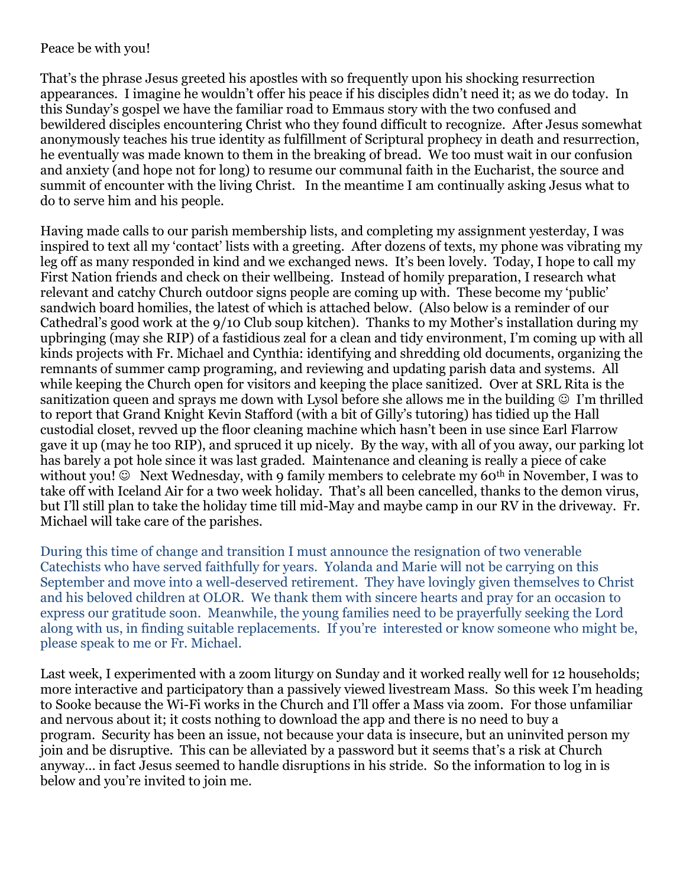## Peace be with you!

That's the phrase Jesus greeted his apostles with so frequently upon his shocking resurrection appearances. I imagine he wouldn't offer his peace if his disciples didn't need it; as we do today. In this Sunday's gospel we have the familiar road to Emmaus story with the two confused and bewildered disciples encountering Christ who they found difficult to recognize. After Jesus somewhat anonymously teaches his true identity as fulfillment of Scriptural prophecy in death and resurrection, he eventually was made known to them in the breaking of bread. We too must wait in our confusion and anxiety (and hope not for long) to resume our communal faith in the Eucharist, the source and summit of encounter with the living Christ. In the meantime I am continually asking Jesus what to do to serve him and his people.

Having made calls to our parish membership lists, and completing my assignment yesterday, I was inspired to text all my 'contact' lists with a greeting. After dozens of texts, my phone was vibrating my leg off as many responded in kind and we exchanged news. It's been lovely. Today, I hope to call my First Nation friends and check on their wellbeing. Instead of homily preparation, I research what relevant and catchy Church outdoor signs people are coming up with. These become my 'public' sandwich board homilies, the latest of which is attached below. (Also below is a reminder of our Cathedral's good work at the 9/10 Club soup kitchen). Thanks to my Mother's installation during my upbringing (may she RIP) of a fastidious zeal for a clean and tidy environment, I'm coming up with all kinds projects with Fr. Michael and Cynthia: identifying and shredding old documents, organizing the remnants of summer camp programing, and reviewing and updating parish data and systems. All while keeping the Church open for visitors and keeping the place sanitized. Over at SRL Rita is the sanitization queen and sprays me down with Lysol before she allows me in the building  $\circledcirc$  I'm thrilled to report that Grand Knight Kevin Stafford (with a bit of Gilly's tutoring) has tidied up the Hall custodial closet, revved up the floor cleaning machine which hasn't been in use since Earl Flarrow gave it up (may he too RIP), and spruced it up nicely. By the way, with all of you away, our parking lot has barely a pot hole since it was last graded. Maintenance and cleaning is really a piece of cake without you!  $\odot$  Next Wednesday, with 9 family members to celebrate my 60<sup>th</sup> in November, I was to take off with Iceland Air for a two week holiday. That's all been cancelled, thanks to the demon virus, but I'll still plan to take the holiday time till mid-May and maybe camp in our RV in the driveway. Fr. Michael will take care of the parishes.

During this time of change and transition I must announce the resignation of two venerable Catechists who have served faithfully for years. Yolanda and Marie will not be carrying on this September and move into a well-deserved retirement. They have lovingly given themselves to Christ and his beloved children at OLOR. We thank them with sincere hearts and pray for an occasion to express our gratitude soon. Meanwhile, the young families need to be prayerfully seeking the Lord along with us, in finding suitable replacements. If you're interested or know someone who might be, please speak to me or Fr. Michael.

Last week, I experimented with a zoom liturgy on Sunday and it worked really well for 12 households; more interactive and participatory than a passively viewed livestream Mass. So this week I'm heading to Sooke because the Wi-Fi works in the Church and I'll offer a Mass via zoom. For those unfamiliar and nervous about it; it costs nothing to download the app and there is no need to buy a program. Security has been an issue, not because your data is insecure, but an uninvited person my join and be disruptive. This can be alleviated by a password but it seems that's a risk at Church anyway… in fact Jesus seemed to handle disruptions in his stride. So the information to log in is below and you're invited to join me.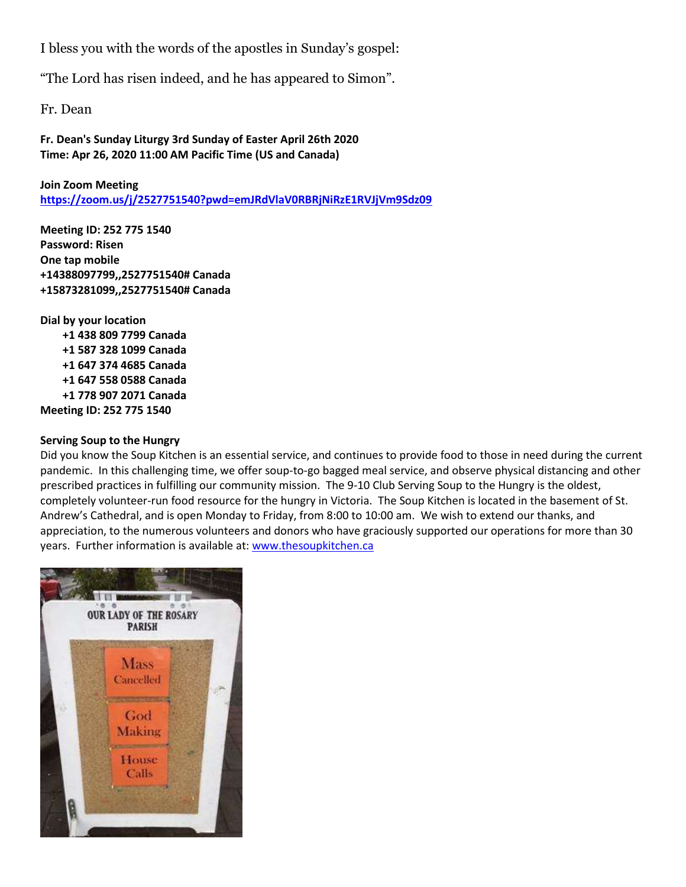I bless you with the words of the apostles in Sunday's gospel:

"The Lord has risen indeed, and he has appeared to Simon".

Fr. Dean

**Fr. Dean's Sunday Liturgy 3rd Sunday of Easter April 26th 2020 Time: Apr 26, 2020 11:00 AM Pacific Time (US and Canada)**

**Join Zoom Meeting <https://zoom.us/j/2527751540?pwd=emJRdVlaV0RBRjNiRzE1RVJjVm9Sdz09>**

**Meeting ID: 252 775 1540 Password: Risen One tap mobile +14388097799,,2527751540# Canada +15873281099,,2527751540# Canada**

**Dial by your location +1 438 809 7799 Canada +1 587 328 1099 Canada +1 647 374 4685 Canada +1 647 558 0588 Canada +1 778 907 2071 Canada Meeting ID: 252 775 1540**

## **Serving Soup to the Hungry**

Did you know the Soup Kitchen is an essential service, and continues to provide food to those in need during the current pandemic. In this challenging time, we offer soup-to-go bagged meal service, and observe physical distancing and other prescribed practices in fulfilling our community mission. The 9-10 Club Serving Soup to the Hungry is the oldest, completely volunteer-run food resource for the hungry in Victoria. The Soup Kitchen is located in the basement of St. Andrew's Cathedral, and is open Monday to Friday, from 8:00 to 10:00 am. We wish to extend our thanks, and appreciation, to the numerous volunteers and donors who have graciously supported our operations for more than 30 years. Further information is available at: [www.thesoupkitchen.ca](http://www.thesoupkitchen.ca/)